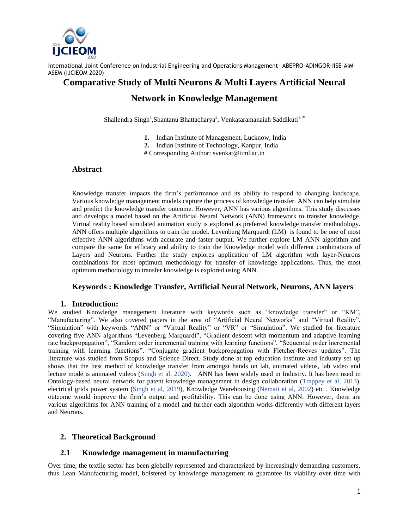

# **Comparative Study of Multi Neurons & Multi Layers Artificial Neural**

# **Network in Knowledge Management**

Shailendra Singh<sup>1</sup>,Shantanu Bhattacharya<sup>2</sup>, Venkataramanaiah Saddikuti<sup>1,#</sup>

- **1.** Indian Institute of Management, Lucknow, India
- **2.** Indian Institute of Technology, Kanpur, India
- # Corresponding Author: [svenkat@iiml.ac.in](https://webmail.iitk.ac.in/squirrelmail/src/compose.php?send_to=svenkat@iiml.ac.in)

#### **Abstract**

Knowledge transfer impacts the firm's performance and its ability to respond to changing landscape. Various knowledge management models capture the process of knowledge transfer. ANN can help simulate and predict the knowledge transfer outcome. However, ANN has various algorithms. This study discusses and develops a model based on the Artificial Neural Network (ANN) framework to transfer knowledge. Virtual reality based simulated animation study is explored as preferred knowledge transfer methodology. ANN offers multiple algorithms to train the model. Levenberg Marquardt (LM) is found to be one of most effective ANN algorithms with accurate and faster output. We further explore LM ANN algorithm and compare the same for efficacy and ability to train the Knowledge model with different combinations of Layers and Neurons. Further the study explores application of LM algorithm with layer-Neurons combinations for most optimum methodology for transfer of knowledge applications. Thus, the most optimum methodology to transfer knowledge is explored using ANN.

### **Keywords : Knowledge Transfer, Artificial Neural Network, Neurons, ANN layers**

#### **1. Introduction:**

We studied Knowledge management literature with keywords such as "knowledge transfer" or "KM", "Manufacturing". We also covered papers in the area of "Artificial Neural Networks" and "Virtual Reality", "Simulation" with keywords "ANN" or "Virtual Reality" or "VR" or "Simulation". We studied for literature covering five ANN algorithms "Levenberg Marquardt", "Gradient descent with momentum and adaptive learning rate backpropagation", "Random order incremental training with learning functions", "Sequential order incremental training with learning functions". "Conjugate gradient backpropagation with Fletcher-Reeves updates". The literature was studied from Scopus and Science Direct. Study done at top education institute and industry set up shows that the best method of knowledge transfer from amongst hands on lab, animated videos, lab video and lecture mode is animated videos (Singh et al, 2020). ANN has been widely used in Industry. It has been used in Ontology-based neural network for patent knowledge management in design collaboration (Trappey et al, 2013), electrical grids power system (Singh et al, 2019), Knowledge Warehousing (Nemati et al, 2002) etc . Knowledge outcome would improve the firm's output and profitability. This can be done using ANN. However, there are various algorithms for ANN training of a model and further each algorithm works differently with different layers and Neurons.

#### **2. Theoretical Background**

#### **2.1 Knowledge management in manufacturing**

Over time, the textile sector has been globally represented and characterized by increasingly demanding customers, thus Lean Manufacturing model, bolstered by knowledge management to guarantee its viability over time with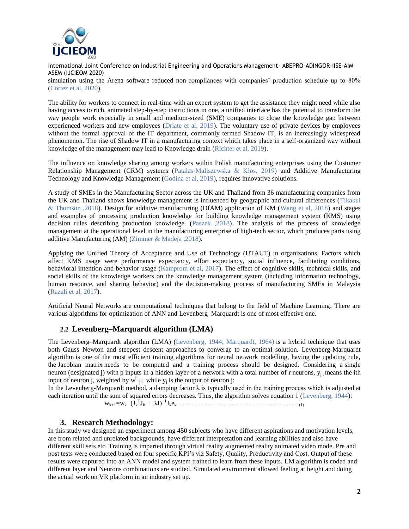

International Joint Conference on Industrial Engineering and Operations Management- ABEPRO-ADINGOR-IISE-AIM-ASEM (IJCIEOM 2020) simulation using the Arena software reduced non-compliances with companies' production schedule up to 80% (Cortez et al, 2020).

The ability for workers to connect in real-time with an expert system to get the assistance they might need while also having access to rich, animated step-by-step instructions in one, a unified interface has the potential to transform the way people work especially in small and medium-sized (SME) companies to close the knowledge gap between experienced workers and new employees (Driate et al, 2019). The voluntary use of private devices by employees without the formal approval of the IT department, commonly termed Shadow IT, is an increasingly widespread phenomenon. The rise of Shadow IT in a manufacturing context which takes place in a self-organized way without knowledge of the management may lead to Knowledge drain (Richter et al, 2019).

The influence on knowledge sharing among workers within Polish manufacturing enterprises using the Customer Relationship Management (CRM) systems (Patalas-Maliszewska & Kłos, 2019) and Additive Manufacturing Technology and Knowledge Management (Godina et al, 2019), requires innovative solutions.

A study of SMEs in the Manufacturing Sector across the UK and Thailand from 36 manufacturing companies from the UK and Thailand shows knowledge management is influenced by geographic and cultural differences (Tikakul & Thomson ,2018). Design for additive manufacturing (DfAM) application of KM (Wang et al, 2018) and stages and examples of processing production knowledge for building knowledge management system (KMS) using decision rules describing production knowledge. (Paszek ,2018). The analysis of the process of knowledge management at the operational level in the manufacturing enterprise of high-tech sector, which produces parts using additive Manufacturing (AM) (Zimmer & Madeja ,2018).

Applying the Unified Theory of Acceptance and Use of Technology (UTAUT) in organizations. Factors which affect KMS usage were performance expectancy, effort expectancy, social influence, facilitating conditions, behavioral intention and behavior usage (Kamprom et al, 2017). The effect of cognitive skills, technical skills, and social skills of the knowledge workers on the knowledge management system (including information technology, human resource, and sharing behavior) and the decision-making process of manufacturing SMEs in Malaysia (Razali et al, 2017).

[Artificial Neural Networks](https://www.sciencedirect.com/topics/veterinary-science-and-veterinary-medicine/artificial-neural-network) are computational techniques that belong to the field of Machine Learning. There are various algorithms for optimization of ANN and Levenberg–Marquardt is one of most effective one.

# **2.2 Levenberg–Marquardt algorithm (LMA)**

The Levenberg–Marquardt algorithm (LMA) (Levenberg, 1944; Marquardt, 1964) is a hybrid technique that uses both Gauss–Newton and steepest descent approaches to converge to an optimal solution. Levenberg-Marquardt algorithm is one of the most efficient training algorithms for neural network modelling, having the updating rule, the [Jacobian matrix](https://www.sciencedirect.com/topics/engineering/jacobian-matrix) needs to be computed and a training process should be designed. Considering a [single](https://www.sciencedirect.com/topics/engineering/single-neuron)  [neuron](https://www.sciencedirect.com/topics/engineering/single-neuron) (designated j) with p inputs in a hidden layer of a network with a total number of r neurons, y<sub>i,i</sub> means the ith input of neuron j, weighted by  $\mathbf{w}^h$   $_{j,i}$  while  $\mathbf{y}_j$  is the output of neuron j:

In the Levenberg-Marquardt method, a [damping factor](https://www.sciencedirect.com/topics/engineering/damping-factor)  $\lambda$  is typically used in the training process which is adjusted at each iteration until the sum of squared errors decreases. Thus, the algorithm solves equation 1 (Levenberg, 1944): T  $J_k + \lambda I)^{-1}$ 

$$
w_{k+1} = w_k - (J_k^T J_k + \lambda I)^{-1} J_k e_{k...}
$$
 (1)

# **3. Research Methodology:**

In this study we designed an experiment among 450 subjects who have different aspirations and motivation levels, are from related and unrelated backgrounds, have different interpretation and learning abilities and also have different skill sets etc. Training is imparted through virtual reality augmented reality animated video mode. Pre and post tests were conducted based on four specific KPI's viz Safety, Quality, Productivity and Cost. Output of these results were captured into an ANN model and system trained to learn from these inputs. LM algorithm is coded and different layer and Neurons combinations are studied. Simulated environment allowed feeling at height and doing the actual work on VR platform in an industry set up.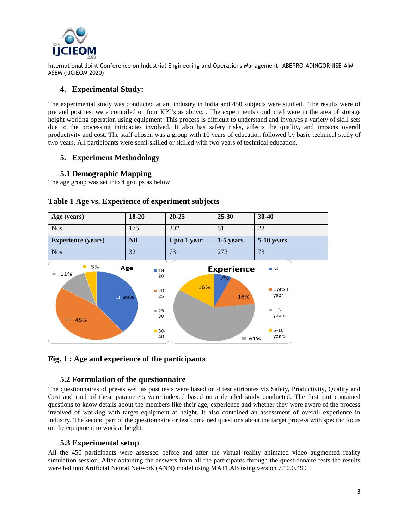

## **4. Experimental Study:**

The experimental study was conducted at an industry in India and 450 subjects were studied. The results were of pre and post test were compiled on four KPI's as above. . The experiments conducted were in the area of storage height working operation using equipment. This process is difficult to understand and involves a variety of skill sets due to the processing intricacies involved. It also has safety risks, affects the quality, and impacts overall productivity and cost. The staff chosen was a group with 10 years of education followed by basic technical study of two years. All participants were semi-skilled or skilled with two years of technical education.

# **5. Experiment Methodology**

## **5.1 Demographic Mapping**

The age group was set into 4 groups as below



## **Table 1 Age vs. Experience of experiment subjects**

### **Fig. 1 : Age and experience of the participants**

### **5.2 Formulation of the questionnaire**

The questionnaires of pre-as well as post tests were based on 4 test attributes viz Safety, Productivity, Quality and Cost and each of these parameters were indexed based on a detailed study conducted**.** The first part contained questions to know details about the members like their age, experience and whether they were aware of the process involved of working with target equipment at height. It also contained an assessment of overall experience in industry. The second part of the questionnaire or test contained questions about the target process with specific focus on the equipment to work at height.

### **5.3 Experimental setup**

All the 450 participants were assessed before and after the virtual reality animated video augmented reality simulation session. After obtaining the answers from all the participants through the questionnaire tests the results were fed into Artificial Neural Network (ANN) model using MATLAB using version 7.10.0.499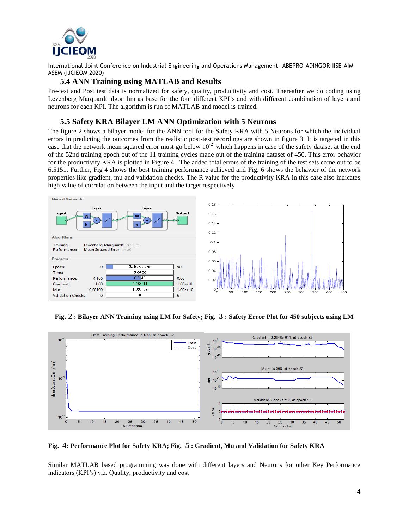

#### **5.4 ANN Training using MATLAB and Results**

Pre-test and Post test data is normalized for safety, quality, productivity and cost. Thereafter we do coding using Levenberg Marquardt algorithm as base for the four different KPI's and with different combination of layers and neurons for each KPI. The algorithm is run of MATLAB and model is trained.

## **5.5 Safety KRA Bilayer LM ANN Optimization with 5 Neurons**

The figure 2 shows a bilayer model for the ANN tool for the Safety KRA with 5 Neurons for which the individual errors in predicting the outcomes from the realistic post-test recordings are shown in figure 3. It is targeted in this case that the network mean squared error must go below  $10^{-2}$  which happens in case of the safety dataset at the end of the 52nd training epoch out of the 11 training cycles made out of the training dataset of 450. This error behavior for the productivity KRA is plotted in Figure 4 . The added total errors of the training of the test sets come out to be 6.5151. Further, Fig 4 shows the best training performance achieved and Fig. 6 shows the behavior of the network properties like gradient, mu and validation checks. The R value for the productivity KRA in this case also indicates high value of correlation between the input and the target respectively



**Fig. 2 : Bilayer ANN Training using LM for Safety; Fig. 3 : Safety Error Plot for 450 subjects using LM**



**Fig. 4: Performance Plot for Safety KRA; Fig. 5 : Gradient, Mu and Validation for Safety KRA** 

Similar MATLAB based programming was done with different layers and Neurons for other Key Performance indicators (KPI's) viz. Quality, productivity and cost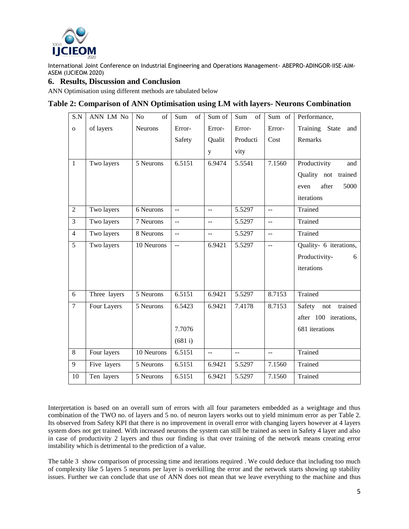

## **6. Results, Discussion and Conclusion**

ANN Optimisation using different methods are tabulated below

## **Table 2: Comparison of ANN Optimisation using LM with layers- Neurons Combination**

| S.N            | ANN LM No    | N <sub>o</sub><br>$\sigma$ f | Sum<br>of                 | Sum of                   | of<br>Sum                 | Sum of         | Performance,             |
|----------------|--------------|------------------------------|---------------------------|--------------------------|---------------------------|----------------|--------------------------|
| $\mathbf{o}$   | of layers    | Neurons                      | Error-                    | Error-                   | Error-                    | Error-         | Training State<br>and    |
|                |              |                              | Safety                    | Qualit                   | Producti                  | Cost           | Remarks                  |
|                |              |                              |                           | y                        | vity                      |                |                          |
| $\mathbf{1}$   | Two layers   | 5 Neurons                    | 6.5151                    | 6.9474                   | 5.5541                    | 7.1560         | Productivity<br>and      |
|                |              |                              |                           |                          |                           |                | Quality not<br>trained   |
|                |              |                              |                           |                          |                           |                | after<br>5000<br>even    |
|                |              |                              |                           |                          |                           |                | iterations               |
| $\overline{2}$ | Two layers   | 6 Neurons                    | $\mathbf{u} =$            | --                       | 5.5297                    | $-$            | Trained                  |
| $\overline{3}$ | Two layers   | $\overline{7}$ Neurons       | $\mathbb{L}^{\mathbb{L}}$ | $\overline{\phantom{a}}$ | 5.5297                    | $\sim$         | Trained                  |
| $\overline{4}$ | Two layers   | 8 Neurons                    | $\overline{a}$            | $\overline{a}$           | 5.5297                    | $\overline{a}$ | Trained                  |
| $\overline{5}$ | Two layers   | 10 Neurons                   | $\mathbb{L}^{\mathbb{L}}$ | 6.9421                   | 5.5297                    | $\overline{a}$ | Quality- 6 iterations,   |
|                |              |                              |                           |                          |                           |                | Productivity-<br>6       |
|                |              |                              |                           |                          |                           |                | iterations               |
|                |              |                              |                           |                          |                           |                |                          |
| 6              | Three layers | 5 Neurons                    | 6.5151                    | 6.9421                   | 5.5297                    | 8.7153         | Trained                  |
| $\overline{7}$ | Four Layers  | 5 Neurons                    | 6.5423                    | 6.9421                   | 7.4178                    | 8.7153         | trained<br>Safety<br>not |
|                |              |                              |                           |                          |                           |                | after 100 iterations,    |
|                |              |                              | 7.7076                    |                          |                           |                | 681 iterations           |
|                |              |                              | (681 i)                   |                          |                           |                |                          |
| $\overline{8}$ | Four layers  | 10 Neurons                   | 6.5151                    | $\sim$ $\sim$            | $\mathbb{L}^{\mathbb{L}}$ | $\mathbf{u}$   | Trained                  |
| 9              | Five layers  | 5 Neurons                    | 6.5151                    | 6.9421                   | 5.5297                    | 7.1560         | Trained                  |
| 10             | Ten layers   | 5 Neurons                    | 6.5151                    | 6.9421                   | 5.5297                    | 7.1560         | Trained                  |

Interpretation is based on an overall sum of errors with all four parameters embedded as a weightage and thus combination of the TWO no. of layers and 5 no. of neuron layers works out to yield minimum error as per Table 2. Its observed from Safety KPI that there is no improvement in overall error with changing layers however at 4 layers system does not get trained. With increased neurons the system can still be trained as seen in Safety 4 layer and also in case of productivity 2 layers and thus our finding is that over training of the network means creating error instability which is detrimental to the prediction of a value.

The table 3 show comparison of processing time and iterations required . We could deduce that including too much of complexity like 5 layers 5 neurons per layer is overkilling the error and the network starts showing up stability issues. Further we can conclude that use of ANN does not mean that we leave everything to the machine and thus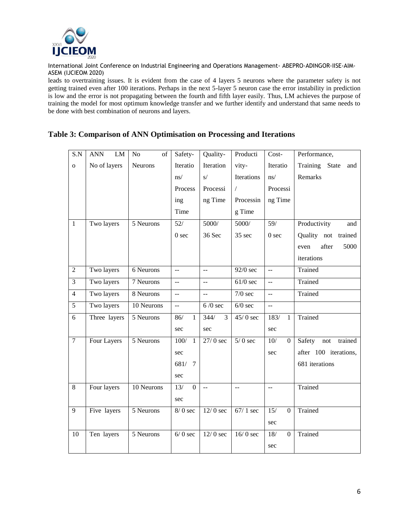

leads to overtraining issues. It is evident from the case of 4 layers 5 neurons where the parameter safety is not getting trained even after 100 iterations. Perhaps in the next 5-layer 5 neuron case the error instability in prediction is low and the error is not propagating between the fourth and fifth layer easily. Thus, LM achieves the purpose of training the model for most optimum knowledge transfer and we further identify and understand that same needs to be done with best combination of neurons and layers.

# **Table 3: Comparison of ANN Optimisation on Processing and Iterations**

| $\overline{S.N}$ | LM<br><b>ANN</b> | N <sub>o</sub><br>of | Safety-                   | Quality-       | Producti              | $Cost-$                               | Performance,             |
|------------------|------------------|----------------------|---------------------------|----------------|-----------------------|---------------------------------------|--------------------------|
| $\mathbf{o}$     | No of layers     | <b>Neurons</b>       | Iteratio                  | Iteration      | vity-                 | Iteratio                              | Training<br>State<br>and |
|                  |                  |                      | ns/                       | s/             | Iterations            | ns/                                   | Remarks                  |
|                  |                  |                      | Process                   | Processi       | $\sqrt{2}$            | Processi                              |                          |
|                  |                  |                      | ing                       | ng Time        | Processin             | ng Time                               |                          |
|                  |                  |                      | Time                      |                | g Time                |                                       |                          |
| $\mathbf{1}$     | Two layers       | 5 Neurons            | 52/                       | 5000/          | 5000/                 | 59/                                   | Productivity<br>and      |
|                  |                  |                      | 0 <sub>sec</sub>          | 36 Sec         | 35 sec                | 0 <sub>sec</sub>                      | Quality not trained      |
|                  |                  |                      |                           |                |                       |                                       | after<br>5000<br>even    |
|                  |                  |                      |                           |                |                       |                                       | iterations               |
| $\overline{2}$   | Two layers       | 6 Neurons            | $\omega\omega$            | шш.            | 92/0 sec              | $\overline{a}$                        | Trained                  |
| $\overline{3}$   | Two layers       | 7 Neurons            | $\omega$ $\omega$         | 44             | $61/0$ sec            | $\overline{a}$                        | Trained                  |
| $\overline{4}$   | Two layers       | 8 Neurons            | $\overline{a}$            | $\overline{a}$ | $7/0$ sec             | $\overline{a}$                        | Trained                  |
| $\overline{5}$   | Two layers       | 10 Neurons           | $\mathbb{L}^{\mathbb{L}}$ | $6/0$ sec      | $6/0$ sec             | $\overline{a}$                        |                          |
| 6                | Three layers     | 5 Neurons            | 86/<br>$\mathbf{1}$       | 344/<br>3      | $\overline{45/0}$ sec | 183/<br>$\mathbf{1}$                  | Trained                  |
|                  |                  |                      | sec                       | sec            |                       | sec                                   |                          |
| $\overline{7}$   | Four Layers      | 5 Neurons            | 100/<br>$\mathbf{1}$      | $27/0$ sec     | $5/0$ sec             | $\overline{10/1}$<br>$\boldsymbol{0}$ | Safety<br>not<br>trained |
|                  |                  |                      | sec                       |                |                       | sec                                   | after 100 iterations,    |
|                  |                  |                      | 681/ 7                    |                |                       |                                       | 681 iterations           |
|                  |                  |                      | sec                       |                |                       |                                       |                          |
| 8                | Four layers      | 10 Neurons           | $\overline{0}$<br>13/     | $\overline{a}$ | L.                    | $\overline{a}$                        | Trained                  |
|                  |                  |                      | sec                       |                |                       |                                       |                          |
| $\overline{9}$   | Five layers      | 5 Neurons            | $8/0$ sec                 | $12/0$ sec     | $67/1$ sec            | $\overline{15/}$<br>$\boldsymbol{0}$  | Trained                  |
|                  |                  |                      |                           |                |                       | sec                                   |                          |
| 10               | Ten layers       | 5 Neurons            | $6/0$ sec                 | $12/0$ sec     | $16/0$ sec            | 18/<br>$\overline{0}$                 | Trained                  |
|                  |                  |                      |                           |                |                       | sec                                   |                          |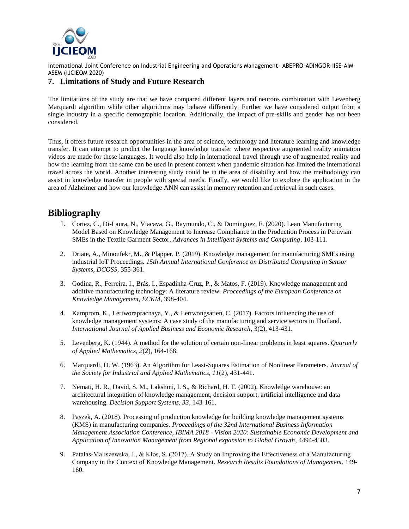

## **7. Limitations of Study and Future Research**

The limitations of the study are that we have compared different layers and neurons combination with Levenberg Marquardt algorithm while other algorithms may behave differently. Further we have considered output from a single industry in a specific demographic location. Additionally, the impact of pre-skills and gender has not been considered.

Thus, it offers future research opportunities in the area of science, technology and literature learning and knowledge transfer. It can attempt to predict the language knowledge transfer where respective augmented reality animation videos are made for these languages. It would also help in international travel through use of augmented reality and how the learning from the same can be used in present context when pandemic situation has limited the international travel across the world. Another interesting study could be in the area of disability and how the methodology can assist in knowledge transfer in people with special needs. Finally, we would like to explore the application in the area of Alzheimer and how our knowledge ANN can assist in memory retention and retrieval in such cases.

# **Bibliography**

- 1. Cortez, C., Di-Laura, N., Viacava, G., Raymundo, C., & Dominguez, F. (2020). Lean Manufacturing Model Based on Knowledge Management to Increase Compliance in the Production Process in Peruvian SMEs in the Textile Garment Sector. *Advances in Intelligent Systems and Computing*, 103-111.
- 2. Driate, A., Minoufekr, M., & Plapper, P. (2019). Knowledge management for manufacturing SMEs using industrial IoT Proceedings. *15th Annual International Conference on Distributed Computing in Sensor Systems, DCOSS*, 355-361.
- 3. Godina, R., Ferreira, I., Brás, I., Espadinha-Cruz, P., & Matos, F. (2019). Knowledge management and additive manufacturing technology: A literature review. *Proceedings of the European Conference on Knowledge Management, ECKM*, 398-404.
- 4. Kamprom, K., Lertworaprachaya, Y., & Lertwongsatien, C. (2017). Factors influencing the use of knowledge management systems: A case study of the manufacturing and service sectors in Thailand. *International Journal of Applied Business and Economic Research*, 3(2), 413-431.
- 5. Levenberg, K. (1944). A method for the solution of certain non-linear problems in least squares. *Quarterly of Applied Mathematics, 2*(2), 164-168.
- 6. Marquardt, D. W. (1963). An Algorithm for Least-Squares Estimation of Nonlinear Parameters. *Journal of the Society for Industrial and Applied Mathematics, 11*(2), 431-441.
- 7. Nemati, H. R., David, S. M., Lakshmi, I. S., & Richard, H. T. (2002). Knowledge warehouse: an architectural integration of knowledge management, decision support, artificial intelligence and data warehousing. *Decision Support Systems, 33*, 143-161.
- 8. Paszek, A. (2018). Processing of production knowledge for building knowledge management systems (KMS) in manufacturing companies. *Proceedings of the 32nd International Business Information Management Association Conference, IBIMA 2018 - Vision 2020: Sustainable Economic Development and Application of Innovation Management from Regional expansion to Global Growth*, 4494-4503.
- 9. Patalas-Maliszewska, J., & Kłos, S. (2017). A Study on Improving the Effectiveness of a Manufacturing Company in the Context of Knowledge Management. *Research Results Foundations of Management*, 149- 160.